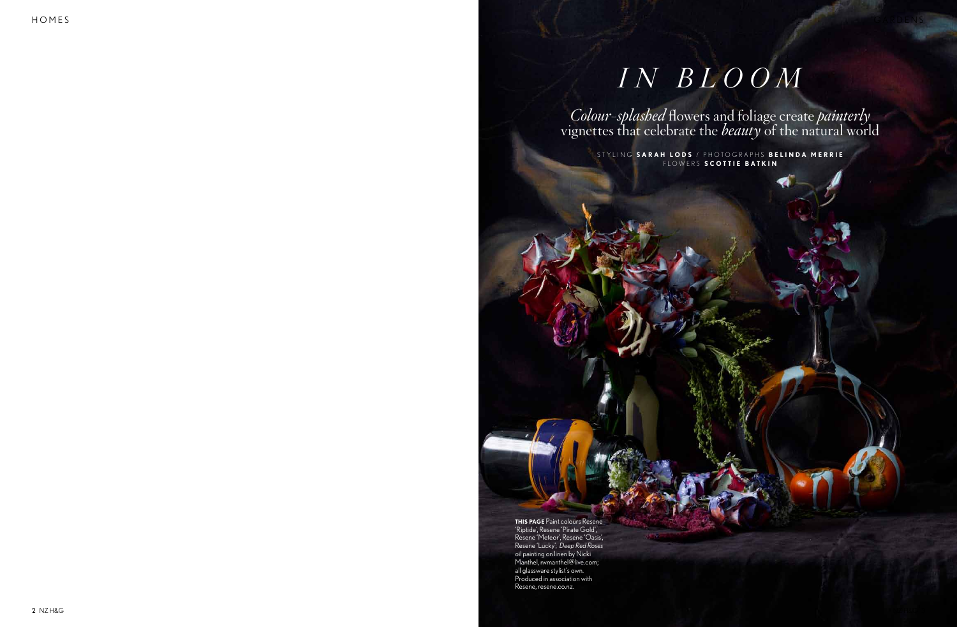## *i n b l o o m*

*Colour-splashed* flowers and foliage create *painterly* vignettes that celebrate the *beauty* of the natural world

STYLING SARAH LODS / PHOTOGRAPHS BELINDA MERRIE f l o w e r s **S cottie B atkin**

**this page** Paint colours Resene 'Riptide', Resene 'Pirate Gold', Resene 'Meteor', Resene 'Oasis', Resene 'Lucky'; *Deep Red Roses* oil painting on linen by Nicki Manthel, nvmanthel@live.com; all glassware stylist's own. Produced in association with Resene, resene.co.nz.

h om e s gant e noard a stad a r de seus an eardere stad a r de seus an deux an deux an deux an deux seus an d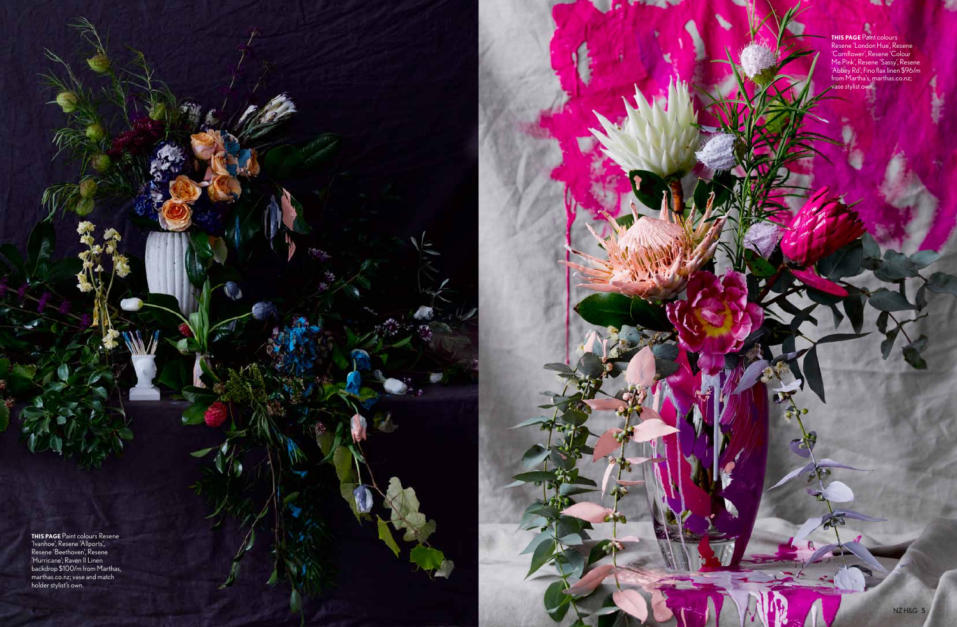**this page** Paint colours Resene 'Ivanhoe', Resene 'Allports', Resene 'Beethoven', Resene 'Hurricane'; Raven II Linen backdrop \$100/m from Marthas, marthas.co.nz; vase and match holder stylist's own.

## **this page** Paint colours Resene 'London Hue', Resene 'Cornflower', Resene 'Colour Me Pink', Resene 'Sassy', Resene 'Abbey Rd'; Fino flax linen \$96/m from Martha's, marthas.co.nz; vase stylist own.